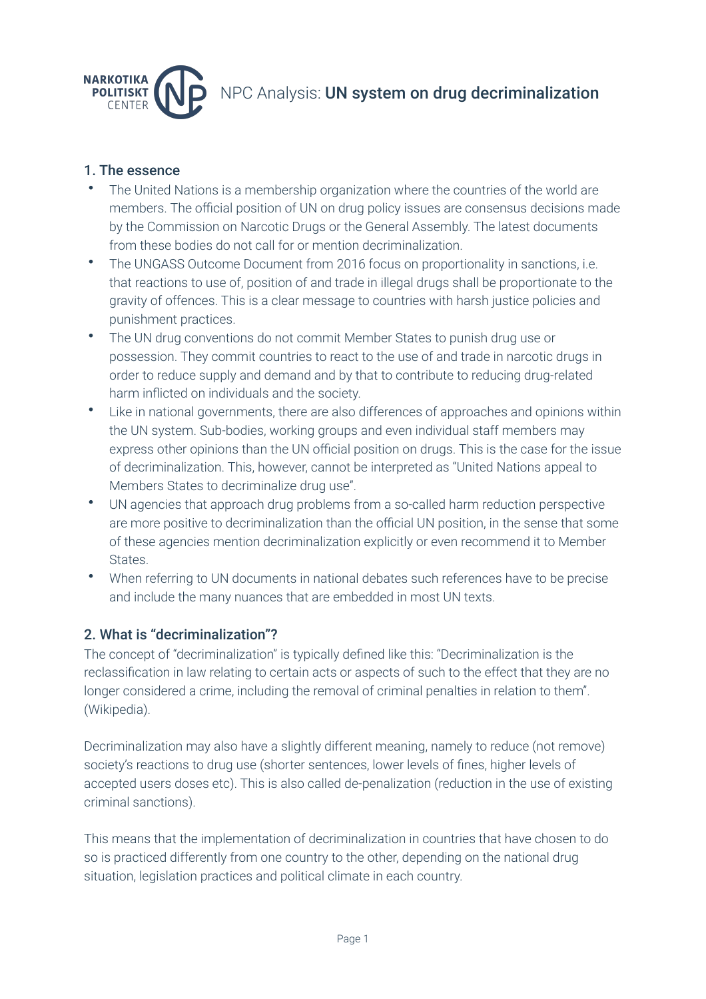

## 1. The essence

- The United Nations is a membership organization where the countries of the world are members. The official position of UN on drug policy issues are consensus decisions made by the Commission on Narcotic Drugs or the General Assembly. The latest documents from these bodies do not call for or mention decriminalization.
- The UNGASS Outcome Document from 2016 focus on proportionality in sanctions, i.e. that reactions to use of, position of and trade in illegal drugs shall be proportionate to the gravity of offences. This is a clear message to countries with harsh justice policies and punishment practices.
- The UN drug conventions do not commit Member States to punish drug use or possession. They commit countries to react to the use of and trade in narcotic drugs in order to reduce supply and demand and by that to contribute to reducing drug-related harm inflicted on individuals and the society.
- Like in national governments, there are also differences of approaches and opinions within the UN system. Sub-bodies, working groups and even individual staff members may express other opinions than the UN official position on drugs. This is the case for the issue of decriminalization. This, however, cannot be interpreted as "United Nations appeal to Members States to decriminalize drug use".
- UN agencies that approach drug problems from a so-called harm reduction perspective are more positive to decriminalization than the official UN position, in the sense that some of these agencies mention decriminalization explicitly or even recommend it to Member **States**
- When referring to UN documents in national debates such references have to be precise and include the many nuances that are embedded in most UN texts.

## 2. What is "decriminalization"?

The concept of "decriminalization" is typically defined like this: "Decriminalization is the reclassification in law relating to certain acts or aspects of such to the effect that they are no longer considered a crime, including the removal of criminal penalties in relation to them". (Wikipedia).

Decriminalization may also have a slightly different meaning, namely to reduce (not remove) society's reactions to drug use (shorter sentences, lower levels of fines, higher levels of accepted users doses etc). This is also called de-penalization (reduction in the use of existing criminal sanctions).

This means that the implementation of decriminalization in countries that have chosen to do so is practiced differently from one country to the other, depending on the national drug situation, legislation practices and political climate in each country.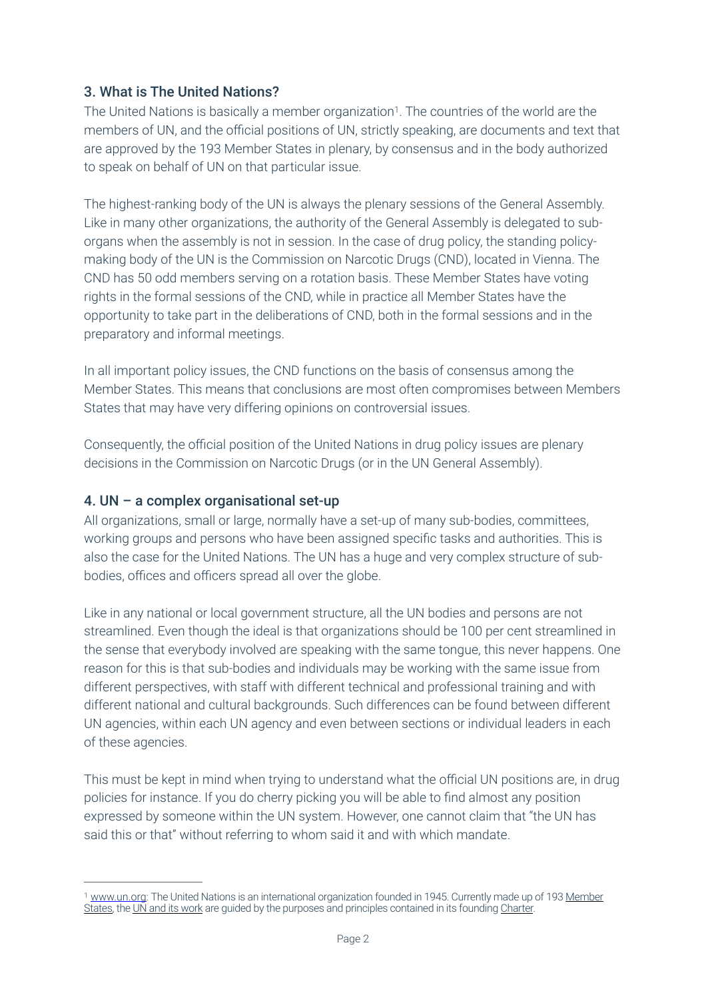# <span id="page-1-1"></span>3. What is The United Nations?

The United Nations is basically a member organization<sup>[1](#page-1-0)</sup>. The countries of the world are the members of UN, and the official positions of UN, strictly speaking, are documents and text that are approved by the 193 Member States in plenary, by consensus and in the body authorized to speak on behalf of UN on that particular issue.

The highest-ranking body of the UN is always the plenary sessions of the General Assembly. Like in many other organizations, the authority of the General Assembly is delegated to suborgans when the assembly is not in session. In the case of drug policy, the standing policymaking body of the UN is the Commission on Narcotic Drugs (CND), located in Vienna. The CND has 50 odd members serving on a rotation basis. These Member States have voting rights in the formal sessions of the CND, while in practice all Member States have the opportunity to take part in the deliberations of CND, both in the formal sessions and in the preparatory and informal meetings.

In all important policy issues, the CND functions on the basis of consensus among the Member States. This means that conclusions are most often compromises between Members States that may have very differing opinions on controversial issues.

Consequently, the official position of the United Nations in drug policy issues are plenary decisions in the Commission on Narcotic Drugs (or in the UN General Assembly).

#### 4. UN – a complex organisational set-up

All organizations, small or large, normally have a set-up of many sub-bodies, committees, working groups and persons who have been assigned specific tasks and authorities. This is also the case for the United Nations. The UN has a huge and very complex structure of subbodies, offices and officers spread all over the globe.

Like in any national or local government structure, all the UN bodies and persons are not streamlined. Even though the ideal is that organizations should be 100 per cent streamlined in the sense that everybody involved are speaking with the same tongue, this never happens. One reason for this is that sub-bodies and individuals may be working with the same issue from different perspectives, with staff with different technical and professional training and with different national and cultural backgrounds. Such differences can be found between different UN agencies, within each UN agency and even between sections or individual leaders in each of these agencies.

This must be kept in mind when trying to understand what the official UN positions are, in drug policies for instance. If you do cherry picking you will be able to find almost any position expressed by someone within the UN system. However, one cannot claim that "the UN has said this or that" without referring to whom said it and with which mandate.

<span id="page-1-0"></span>[www.un.org](http://www.un.org): The United Nations is an international organization founded in 1945. Currently made up of 193 [Member](https://www.un.org/en/about-us/member-states) [1](#page-1-1) [States,](https://www.un.org/en/about-us/member-states) the [UN and its work](https://www.un.org/en/our-work) are guided by the purposes and principles contained in its founding [Charter.](https://www.un.org/en/about-us/un-charter)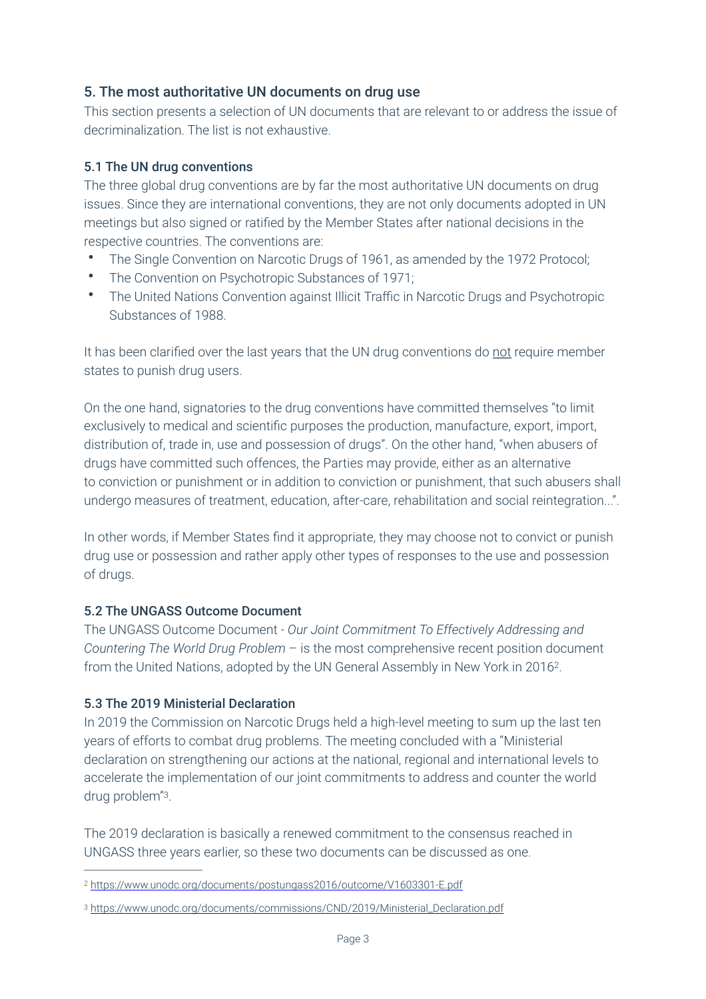# 5. The most authoritative UN documents on drug use

This section presents a selection of UN documents that are relevant to or address the issue of decriminalization. The list is not exhaustive.

#### 5.1 The UN drug conventions

The three global drug conventions are by far the most authoritative UN documents on drug issues. Since they are international conventions, they are not only documents adopted in UN meetings but also signed or ratified by the Member States after national decisions in the respective countries. The conventions are:

- The Single Convention on Narcotic Drugs of 1961, as amended by the 1972 Protocol;
- The Convention on Psychotropic Substances of 1971;
- The United Nations Convention against Illicit Traffic in Narcotic Drugs and Psychotropic Substances of 1988.

It has been clarified over the last years that the UN drug conventions do not require member states to punish drug users.

On the one hand, signatories to the drug conventions have committed themselves "to limit exclusively to medical and scientific purposes the production, manufacture, export, import, distribution of, trade in, use and possession of drugs". On the other hand, "when abusers of drugs have committed such offences, the Parties may provide, either as an alternative to conviction or punishment or in addition to conviction or punishment, that such abusers shall undergo measures of treatment, education, after-care, rehabilitation and social reintegration...".

In other words, if Member States find it appropriate, they may choose not to convict or punish drug use or possession and rather apply other types of responses to the use and possession of drugs.

#### 5.2 The UNGASS Outcome Document

<span id="page-2-2"></span>The UNGASS Outcome Document - *Our Joint Commitment To Effectively Addressing and Countering The World Drug Problem* – is the most comprehensive recent position document from the United Nations, adopted by the UN General Assembly in New York in [2](#page-2-0)016<sup>2</sup>.

#### 5.3 The 2019 Ministerial Declaration

In 2019 the Commission on Narcotic Drugs held a high-level meeting to sum up the last ten years of efforts to combat drug problems. The meeting concluded with a "Ministerial declaration on strengthening our actions at the national, regional and international levels to accelerate the implementation of our joint commitments to address and counter the world drug problem"<sup>[3](#page-2-1)</sup>.

<span id="page-2-3"></span>The 2019 declaration is basically a renewed commitment to the consensus reached in UNGASS three years earlier, so these two documents can be discussed as one.

<span id="page-2-0"></span><https://www.unodc.org/documents/postungass2016/outcome/V1603301-E.pdf> [2](#page-2-2)

<span id="page-2-1"></span><sup>&</sup>lt;sup>3</sup> [https://www.unodc.org/documents/commissions/CND/2019/Ministerial\\_Declaration.pdf](https://www.unodc.org/documents/commissions/CND/2019/Ministerial_Declaration.pdf)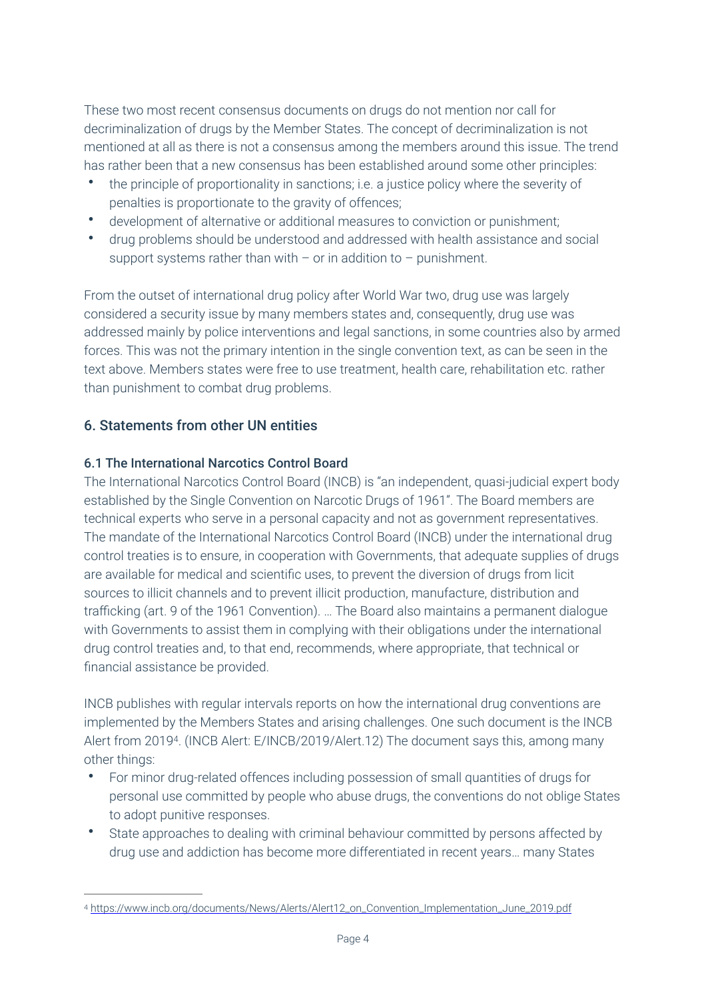These two most recent consensus documents on drugs do not mention nor call for decriminalization of drugs by the Member States. The concept of decriminalization is not mentioned at all as there is not a consensus among the members around this issue. The trend has rather been that a new consensus has been established around some other principles:

- the principle of proportionality in sanctions; i.e. a justice policy where the severity of penalties is proportionate to the gravity of offences;
- development of alternative or additional measures to conviction or punishment;
- drug problems should be understood and addressed with health assistance and social support systems rather than with  $-$  or in addition to  $-$  punishment.

From the outset of international drug policy after World War two, drug use was largely considered a security issue by many members states and, consequently, drug use was addressed mainly by police interventions and legal sanctions, in some countries also by armed forces. This was not the primary intention in the single convention text, as can be seen in the text above. Members states were free to use treatment, health care, rehabilitation etc. rather than punishment to combat drug problems.

# 6. Statements from other UN entities

#### 6.1 The International Narcotics Control Board

The International Narcotics Control Board (INCB) is "an independent, quasi-judicial expert body established by the Single Convention on Narcotic Drugs of 1961". The Board members are technical experts who serve in a personal capacity and not as government representatives. The mandate of the International Narcotics Control Board (INCB) under the international drug control treaties is to ensure, in cooperation with Governments, that adequate supplies of drugs are available for medical and scientific uses, to prevent the diversion of drugs from licit sources to illicit channels and to prevent illicit production, manufacture, distribution and trafficking (art. 9 of the 1961 Convention). … The Board also maintains a permanent dialogue with Governments to assist them in complying with their obligations under the international drug control treaties and, to that end, recommends, where appropriate, that technical or financial assistance be provided.

INCB publishes with regular intervals reports on how the international drug conventions are implemented by the Members States and arising challenges. One such document is the INCB Alert from 2019<sup>[4](#page-3-0)</sup>. (INCB Alert: E/INCB/2019/Alert.12) The document says this, among many other things:

- <span id="page-3-1"></span>• For minor drug-related offences including possession of small quantities of drugs for personal use committed by people who abuse drugs, the conventions do not oblige States to adopt punitive responses.
- State approaches to dealing with criminal behaviour committed by persons affected by drug use and addiction has become more differentiated in recent years… many States

<span id="page-3-0"></span>[https://www.incb.org/documents/News/Alerts/Alert12\\_on\\_Convention\\_Implementation\\_June\\_2019.pdf](https://www.incb.org/documents/News/Alerts/Alert12_on_Convention_Implementation_June_2019.pdf) [4](#page-3-1)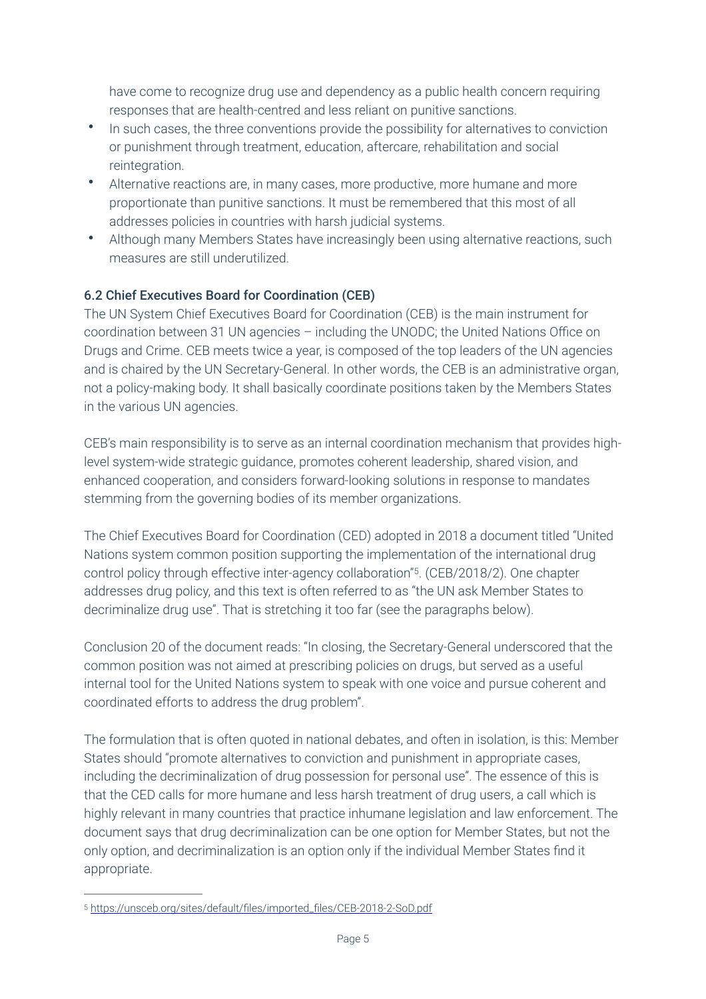have come to recognize drug use and dependency as a public health concern requiring responses that are health-centred and less reliant on punitive sanctions.

- In such cases, the three conventions provide the possibility for alternatives to conviction or punishment through treatment, education, aftercare, rehabilitation and social reintegration.
- Alternative reactions are, in many cases, more productive, more humane and more proportionate than punitive sanctions. It must be remembered that this most of all addresses policies in countries with harsh judicial systems.
- Although many Members States have increasingly been using alternative reactions, such measures are still underutilized.

## 6.2 Chief Executives Board for Coordination (CEB)

The UN System Chief Executives Board for Coordination (CEB) is the main instrument for coordination between 31 UN agencies – including the UNODC; the United Nations Office on Drugs and Crime. CEB meets twice a year, is composed of the top leaders of the UN agencies and is chaired by the UN Secretary-General. In other words, the CEB is an administrative organ, not a policy-making body. It shall basically coordinate positions taken by the Members States in the various UN agencies.

CEB's main responsibility is to serve as an internal coordination mechanism that provides highlevel system-wide strategic guidance, promotes coherent leadership, shared vision, and enhanced cooperation, and considers forward-looking solutions in response to mandates stemming from the governing bodies of its member organizations.

<span id="page-4-1"></span>The Chief Executives Board for Coordination (CED) adopted in 2018 a document titled "United Nations system common position supporting the implementation of the international drug control policy through effective inter-agency collaboration"<sup>[5](#page-4-0)</sup>. (CEB/2018/2). One chapter addresses drug policy, and this text is often referred to as "the UN ask Member States to decriminalize drug use". That is stretching it too far (see the paragraphs below).

Conclusion 20 of the document reads: "In closing, the Secretary-General underscored that the common position was not aimed at prescribing policies on drugs, but served as a useful internal tool for the United Nations system to speak with one voice and pursue coherent and coordinated efforts to address the drug problem".

The formulation that is often quoted in national debates, and often in isolation, is this: Member States should "promote alternatives to conviction and punishment in appropriate cases, including the decriminalization of drug possession for personal use". The essence of this is that the CED calls for more humane and less harsh treatment of drug users, a call which is highly relevant in many countries that practice inhumane legislation and law enforcement. The document says that drug decriminalization can be one option for Member States, but not the only option, and decriminalization is an option only if the individual Member States find it appropriate.

<span id="page-4-0"></span>[https://unsceb.org/sites/default/files/imported\\_files/CEB-2018-2-SoD.pdf](https://unsceb.org/sites/default/files/imported_files/CEB-2018-2-SoD.pdf) [5](#page-4-1)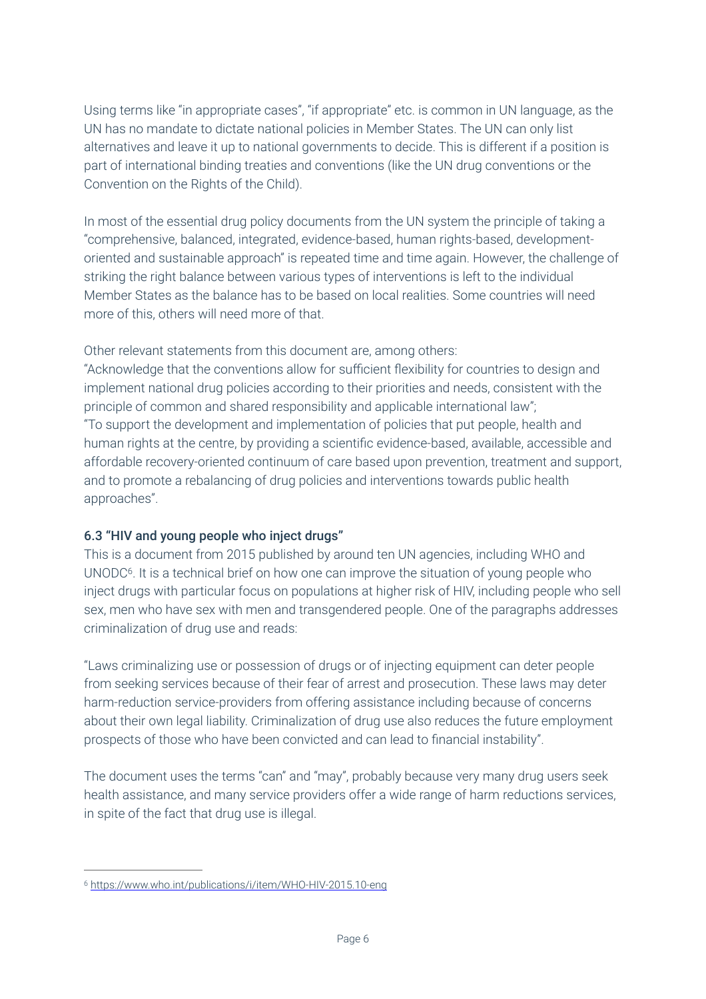Using terms like "in appropriate cases", "if appropriate" etc. is common in UN language, as the UN has no mandate to dictate national policies in Member States. The UN can only list alternatives and leave it up to national governments to decide. This is different if a position is part of international binding treaties and conventions (like the UN drug conventions or the Convention on the Rights of the Child).

In most of the essential drug policy documents from the UN system the principle of taking a "comprehensive, balanced, integrated, evidence-based, human rights-based, developmentoriented and sustainable approach" is repeated time and time again. However, the challenge of striking the right balance between various types of interventions is left to the individual Member States as the balance has to be based on local realities. Some countries will need more of this, others will need more of that.

Other relevant statements from this document are, among others:

"Acknowledge that the conventions allow for sufficient flexibility for countries to design and implement national drug policies according to their priorities and needs, consistent with the principle of common and shared responsibility and applicable international law"; "To support the development and implementation of policies that put people, health and human rights at the centre, by providing a scientific evidence-based, available, accessible and affordable recovery-oriented continuum of care based upon prevention, treatment and support, and to promote a rebalancing of drug policies and interventions towards public health approaches".

## 6.3 "HIV and young people who inject drugs"

<span id="page-5-1"></span>This is a document from 2015 published by around ten UN agencies, including WHO and UNODC<sup>6</sup>[.](#page-5-0) It is a technical brief on how one can improve the situation of young people who inject drugs with particular focus on populations at higher risk of HIV, including people who sell sex, men who have sex with men and transgendered people. One of the paragraphs addresses criminalization of drug use and reads:

"Laws criminalizing use or possession of drugs or of injecting equipment can deter people from seeking services because of their fear of arrest and prosecution. These laws may deter harm-reduction service-providers from offering assistance including because of concerns about their own legal liability. Criminalization of drug use also reduces the future employment prospects of those who have been convicted and can lead to financial instability".

The document uses the terms "can" and "may", probably because very many drug users seek health assistance, and many service providers offer a wide range of harm reductions services, in spite of the fact that drug use is illegal.

<span id="page-5-0"></span>[<sup>6</sup>](#page-5-1) <https://www.who.int/publications/i/item/WHO-HIV-2015.10-eng>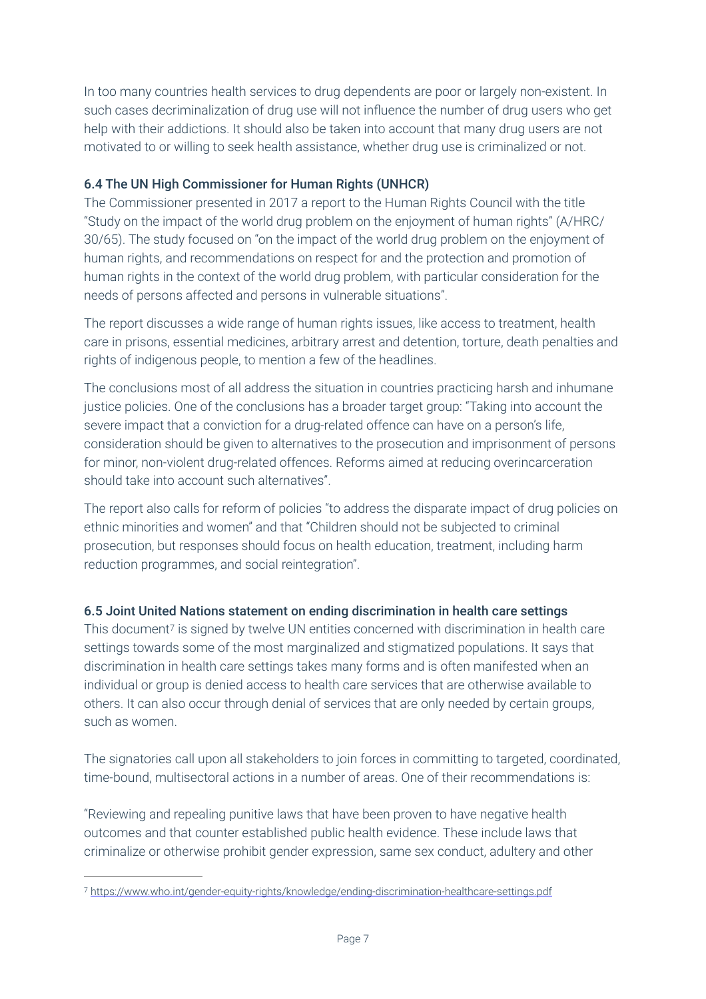In too many countries health services to drug dependents are poor or largely non-existent. In such cases decriminalization of drug use will not influence the number of drug users who get help with their addictions. It should also be taken into account that many drug users are not motivated to or willing to seek health assistance, whether drug use is criminalized or not.

## 6.4 The UN High Commissioner for Human Rights (UNHCR)

The Commissioner presented in 2017 a report to the Human Rights Council with the title "Study on the impact of the world drug problem on the enjoyment of human rights" (A/HRC/ 30/65). The study focused on "on the impact of the world drug problem on the enjoyment of human rights, and recommendations on respect for and the protection and promotion of human rights in the context of the world drug problem, with particular consideration for the needs of persons affected and persons in vulnerable situations".

The report discusses a wide range of human rights issues, like access to treatment, health care in prisons, essential medicines, arbitrary arrest and detention, torture, death penalties and rights of indigenous people, to mention a few of the headlines.

The conclusions most of all address the situation in countries practicing harsh and inhumane justice policies. One of the conclusions has a broader target group: "Taking into account the severe impact that a conviction for a drug-related offence can have on a person's life, consideration should be given to alternatives to the prosecution and imprisonment of persons for minor, non-violent drug-related offences. Reforms aimed at reducing overincarceration should take into account such alternatives".

The report also calls for reform of policies "to address the disparate impact of drug policies on ethnic minorities and women" and that "Children should not be subjected to criminal prosecution, but responses should focus on health education, treatment, including harm reduction programmes, and social reintegration".

# 6.5 Joint United Nations statement on ending discrimination in health care settings

<span id="page-6-1"></span>This documen[t](#page-6-0)<sup>[7](#page-6-0)</sup> is signed by twelve UN entities concerned with discrimination in health care settings towards some of the most marginalized and stigmatized populations. It says that discrimination in health care settings takes many forms and is often manifested when an individual or group is denied access to health care services that are otherwise available to others. It can also occur through denial of services that are only needed by certain groups, such as women.

The signatories call upon all stakeholders to join forces in committing to targeted, coordinated, time-bound, multisectoral actions in a number of areas. One of their recommendations is:

"Reviewing and repealing punitive laws that have been proven to have negative health outcomes and that counter established public health evidence. These include laws that criminalize or otherwise prohibit gender expression, same sex conduct, adultery and other

<span id="page-6-0"></span><https://www.who.int/gender-equity-rights/knowledge/ending-discrimination-healthcare-settings.pdf> [7](#page-6-1)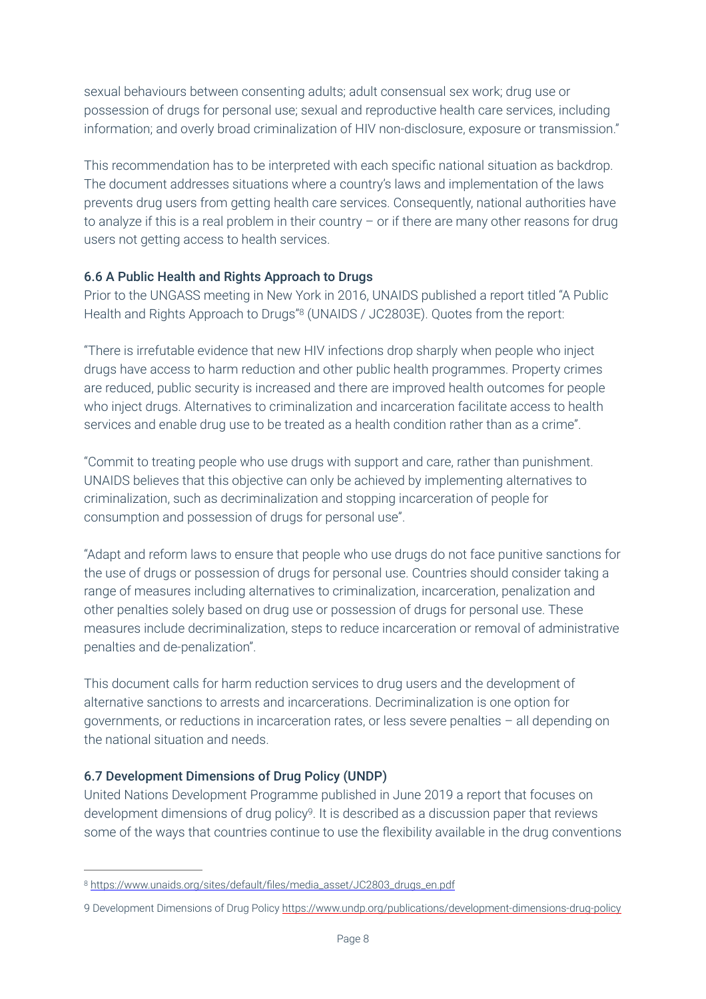sexual behaviours between consenting adults; adult consensual sex work; drug use or possession of drugs for personal use; sexual and reproductive health care services, including information; and overly broad criminalization of HIV non-disclosure, exposure or transmission."

This recommendation has to be interpreted with each specific national situation as backdrop. The document addresses situations where a country's laws and implementation of the laws prevents drug users from getting health care services. Consequently, national authorities have to analyze if this is a real problem in their country – or if there are many other reasons for drug users not getting access to health services.

#### 6.6 A Public Health and Rights Approach to Drugs

<span id="page-7-1"></span>Prior to the UNGASS meeting in New York in 2016, UNAIDS published a report titled "A Public Health and Rights Approach to Drugs["](#page-7-0)<sup>8</sup> (UNAIDS / JC2803E). Quotes from the report:

"There is irrefutable evidence that new HIV infections drop sharply when people who inject drugs have access to harm reduction and other public health programmes. Property crimes are reduced, public security is increased and there are improved health outcomes for people who inject drugs. Alternatives to criminalization and incarceration facilitate access to health services and enable drug use to be treated as a health condition rather than as a crime".

"Commit to treating people who use drugs with support and care, rather than punishment. UNAIDS believes that this objective can only be achieved by implementing alternatives to criminalization, such as decriminalization and stopping incarceration of people for consumption and possession of drugs for personal use".

"Adapt and reform laws to ensure that people who use drugs do not face punitive sanctions for the use of drugs or possession of drugs for personal use. Countries should consider taking a range of measures including alternatives to criminalization, incarceration, penalization and other penalties solely based on drug use or possession of drugs for personal use. These measures include decriminalization, steps to reduce incarceration or removal of administrative penalties and de-penalization".

This document calls for harm reduction services to drug users and the development of alternative sanctions to arrests and incarcerations. Decriminalization is one option for governments, or reductions in incarceration rates, or less severe penalties – all depending on the national situation and needs.

## 6.7 Development Dimensions of Drug Policy (UNDP)

United Nations Development Programme published in June 2019 a report that focuses on development dimensions of drug policy9. It is described as a discussion paper that reviews some of the ways that countries continue to use the flexibility available in the drug conventions

<span id="page-7-0"></span>[https://www.unaids.org/sites/default/files/media\\_asset/JC2803\\_drugs\\_en.pdf](https://www.unaids.org/sites/default/files/media_asset/JC2803_drugs_en.pdf) [8](#page-7-1)

<sup>9</sup> Development Dimensions of Drug Policy <https://www.undp.org/publications/development-dimensions-drug-policy>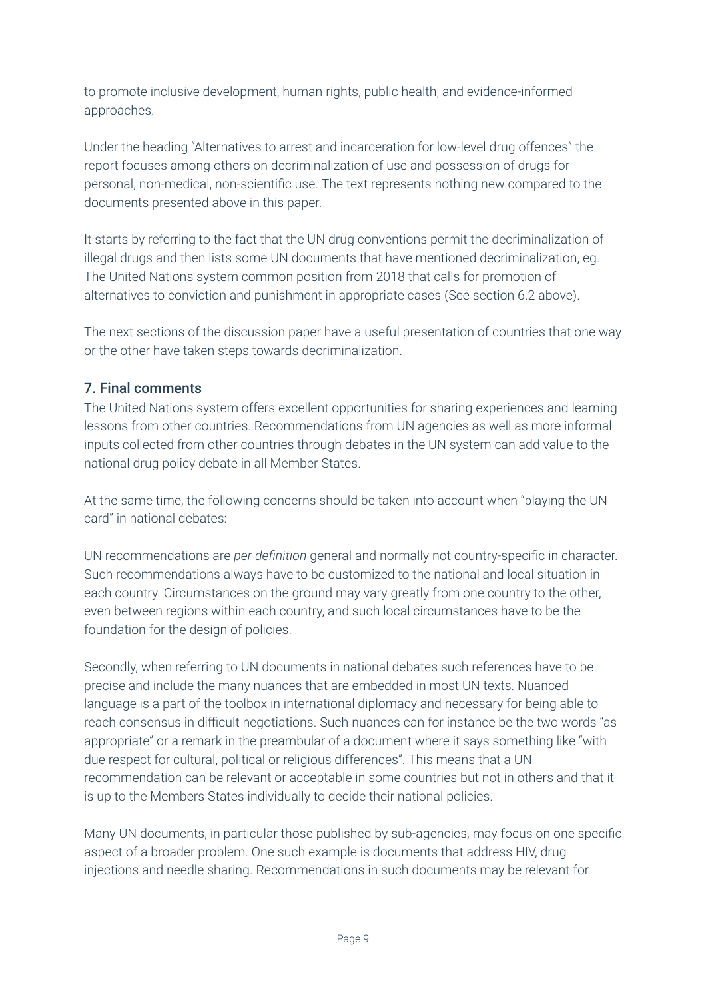to promote inclusive development, human rights, public health, and evidence-informed approaches.

Under the heading "Alternatives to arrest and incarceration for low-level drug offences" the report focuses among others on decriminalization of use and possession of drugs for personal, non-medical, non-scientific use. The text represents nothing new compared to the documents presented above in this paper.

It starts by referring to the fact that the UN drug conventions permit the decriminalization of illegal drugs and then lists some UN documents that have mentioned decriminalization, eg. The United Nations system common position from 2018 that calls for promotion of alternatives to conviction and punishment in appropriate cases (See section 6.2 above).

The next sections of the discussion paper have a useful presentation of countries that one way or the other have taken steps towards decriminalization.

# 7. Final comments

The United Nations system offers excellent opportunities for sharing experiences and learning lessons from other countries. Recommendations from UN agencies as well as more informal inputs collected from other countries through debates in the UN system can add value to the national drug policy debate in all Member States.

At the same time, the following concerns should be taken into account when "playing the UN card" in national debates:

UN recommendations are *per definition* general and normally not country-specific in character. Such recommendations always have to be customized to the national and local situation in each country. Circumstances on the ground may vary greatly from one country to the other, even between regions within each country, and such local circumstances have to be the foundation for the design of policies.

Secondly, when referring to UN documents in national debates such references have to be precise and include the many nuances that are embedded in most UN texts. Nuanced language is a part of the toolbox in international diplomacy and necessary for being able to reach consensus in difficult negotiations. Such nuances can for instance be the two words "as appropriate" or a remark in the preambular of a document where it says something like "with due respect for cultural, political or religious differences". This means that a UN recommendation can be relevant or acceptable in some countries but not in others and that it is up to the Members States individually to decide their national policies.

Many UN documents, in particular those published by sub-agencies, may focus on one specific aspect of a broader problem. One such example is documents that address HIV, drug injections and needle sharing. Recommendations in such documents may be relevant for